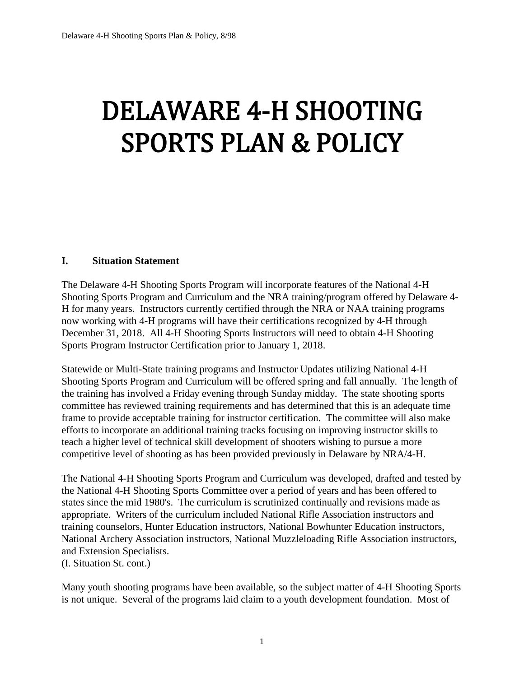# DELAWARE 4-H SHOOTING SPORTS PLAN & POLICY

#### L. **I. Situation Statement**

The Delaware 4-H Shooting Sports Program will incorporate features of the National 4-H Shooting Sports Program and Curriculum and the NRA training/program offered by Delaware 4- H for many years. Instructors currently certified through the NRA or NAA training programs now working with 4-H programs will have their certifications recognized by 4-H through December 31, 2018. All 4-H Shooting Sports Instructors will need to obtain 4-H Shooting Sports Program Instructor Certification prior to January 1, 2018.

Statewide or Multi-State training programs and Instructor Updates utilizing National 4-H Shooting Sports Program and Curriculum will be offered spring and fall annually. The length of the training has involved a Friday evening through Sunday midday. The state shooting sports committee has reviewed training requirements and has determined that this is an adequate time frame to provide acceptable training for instructor certification. The committee will also make efforts to incorporate an additional training tracks focusing on improving instructor skills to teach a higher level of technical skill development of shooters wishing to pursue a more competitive level of shooting as has been provided previously in Delaware by NRA/4-H.

The National 4-H Shooting Sports Program and Curriculum was developed, drafted and tested by the National 4-H Shooting Sports Committee over a period of years and has been offered to states since the mid 1980's. The curriculum is scrutinized continually and revisions made as appropriate. Writers of the curriculum included National Rifle Association instructors and training counselors, Hunter Education instructors, National Bowhunter Education instructors, National Archery Association instructors, National Muzzleloading Rifle Association instructors, and Extension Specialists.

(I. Situation St. cont.)

Many youth shooting programs have been available, so the subject matter of 4-H Shooting Sports is not unique. Several of the programs laid claim to a youth development foundation. Most of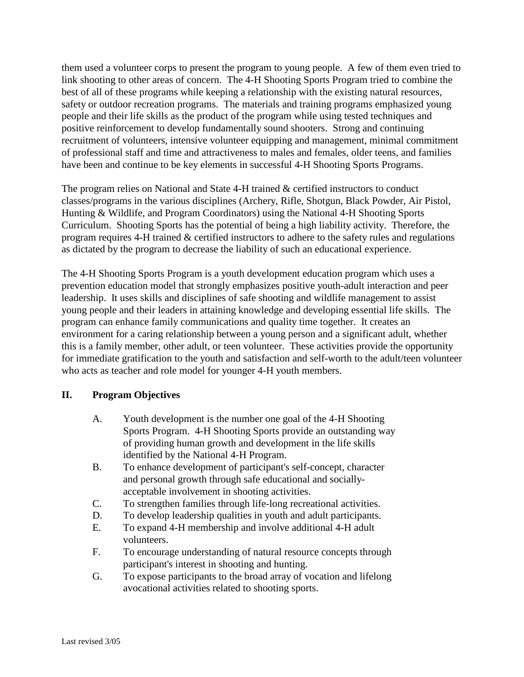them used a volunteer corps to present the program to young people. A few of them even tried to link shooting to other areas of concern. The 4-H Shooting Sports Program tried to combine the best of all of these programs while keeping a relationship with the existing natural resources, safety or outdoor recreation programs. The materials and training programs emphasized young people and their life skills as the product of the program while using tested techniques and positive reinforcement to develop fundamentally sound shooters. Strong and continuing recruitment of volunteers, intensive volunteer equipping and management, minimal commitment of professional staff and time and attractiveness to males and females, older teens, and families have been and continue to be key elements in successful 4-H Shooting Sports Programs.

The program relies on National and State 4-H trained & certified instructors to conduct classes/programs in the various disciplines (Archery, Rifle, Shotgun, Black Powder, Air Pistol, Hunting & Wildlife, and Program Coordinators) using the National 4-H Shooting Sports Curriculum. Shooting Sports has the potential of being a high liability activity. Therefore, the program requires 4-H trained & certified instructors to adhere to the safety rules and regulations as dictated by the program to decrease the liability of such an educational experience.

The 4-H Shooting Sports Program is a youth development education program which uses a prevention education model that strongly emphasizes positive youth-adult interaction and peer leadership. It uses skills and disciplines of safe shooting and wildlife management to assist young people and their leaders in attaining knowledge and developing essential life skills. The program can enhance family communications and quality time together. It creates an environment for a caring relationship between a young person and a significant adult, whether this is a family member, other adult, or teen volunteer. These activities provide the opportunity for immediate gratification to the youth and satisfaction and self-worth to the adult/teen volunteer who acts as teacher and role model for younger 4-H youth members.

### **II. Program Objectives**

- A. Youth development is the number one goal of the 4-H Shooting Sports Program. 4-H Shooting Sports provide an outstanding way of providing human growth and development in the life skills identified by the National 4-H Program.
- B. To enhance development of participant's self-concept, character and personal growth through safe educational and sociallyacceptable involvement in shooting activities.
- C. To strengthen families through life-long recreational activities.
- D. To develop leadership qualities in youth and adult participants.
- E. To expand 4-H membership and involve additional 4-H adult volunteers.
- F. To encourage understanding of natural resource concepts through participant's interest in shooting and hunting.
- G. To expose participants to the broad array of vocation and lifelong avocational activities related to shooting sports.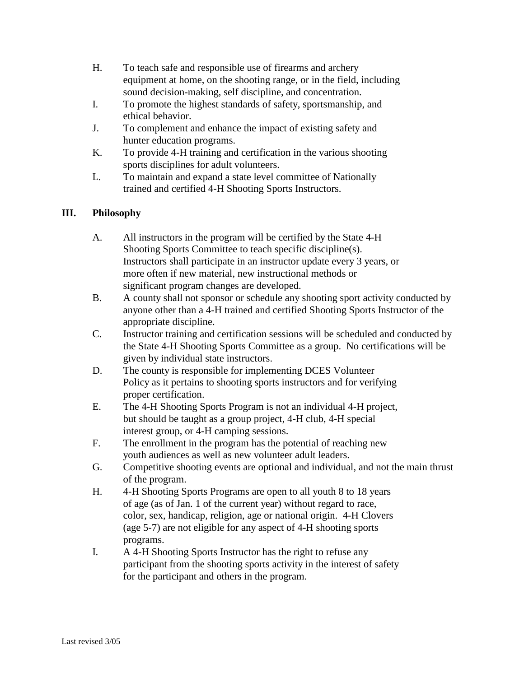- H. To teach safe and responsible use of firearms and archery equipment at home, on the shooting range, or in the field, including sound decision-making, self discipline, and concentration.
- I. To promote the highest standards of safety, sportsmanship, and ethical behavior.
- J. To complement and enhance the impact of existing safety and hunter education programs.
- K. To provide 4-H training and certification in the various shooting sports disciplines for adult volunteers.
- L. To maintain and expand a state level committee of Nationally trained and certified 4-H Shooting Sports Instructors.

# **III. Philosophy**

- A. All instructors in the program will be certified by the State 4-H Shooting Sports Committee to teach specific discipline(s). Instructors shall participate in an instructor update every 3 years, or more often if new material, new instructional methods or significant program changes are developed.
- B. A county shall not sponsor or schedule any shooting sport activity conducted by anyone other than a 4-H trained and certified Shooting Sports Instructor of the appropriate discipline.
- C. Instructor training and certification sessions will be scheduled and conducted by the State 4-H Shooting Sports Committee as a group. No certifications will be given by individual state instructors.
- D. The county is responsible for implementing DCES Volunteer Policy as it pertains to shooting sports instructors and for verifying proper certification.
- E. The 4-H Shooting Sports Program is not an individual 4-H project, but should be taught as a group project, 4-H club, 4-H special interest group, or 4-H camping sessions.
- F. The enrollment in the program has the potential of reaching new youth audiences as well as new volunteer adult leaders.
- G. Competitive shooting events are optional and individual, and not the main thrust of the program.
- H. 4-H Shooting Sports Programs are open to all youth 8 to 18 years of age (as of Jan. 1 of the current year) without regard to race, color, sex, handicap, religion, age or national origin. 4-H Clovers (age 5-7) are not eligible for any aspect of 4-H shooting sports programs.
- I. A 4-H Shooting Sports Instructor has the right to refuse any participant from the shooting sports activity in the interest of safety for the participant and others in the program.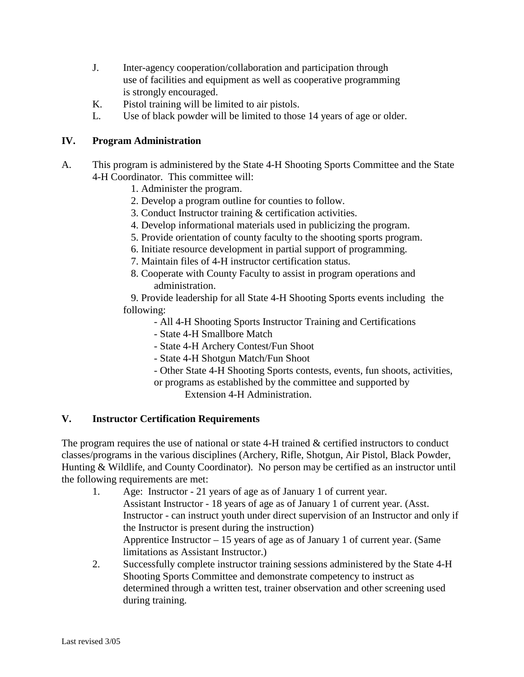- J. Inter-agency cooperation/collaboration and participation through use of facilities and equipment as well as cooperative programming is strongly encouraged.
- K. Pistol training will be limited to air pistols.
- L. Use of black powder will be limited to those 14 years of age or older.

### **IV. Program Administration**

- A. This program is administered by the State 4-H Shooting Sports Committee and the State 4-H Coordinator. This committee will:
	- 1. Administer the program.
	- 2. Develop a program outline for counties to follow.
	- 3. Conduct Instructor training & certification activities.
	- 4. Develop informational materials used in publicizing the program.
	- 5. Provide orientation of county faculty to the shooting sports program.
	- 6. Initiate resource development in partial support of programming.
	- 7. Maintain files of 4-H instructor certification status.
	- 8. Cooperate with County Faculty to assist in program operations and administration.

 9. Provide leadership for all State 4-H Shooting Sports events including the following:

- All 4-H Shooting Sports Instructor Training and Certifications
- State 4-H Smallbore Match
- State 4-H Archery Contest/Fun Shoot
- State 4-H Shotgun Match/Fun Shoot
- Other State 4-H Shooting Sports contests, events, fun shoots, activities, or programs as established by the committee and supported by

Extension 4-H Administration.

# **V. Instructor Certification Requirements**

The program requires the use of national or state 4-H trained  $\&$  certified instructors to conduct classes/programs in the various disciplines (Archery, Rifle, Shotgun, Air Pistol, Black Powder, Hunting & Wildlife, and County Coordinator). No person may be certified as an instructor until the following requirements are met:

- 1. Age: Instructor 21 years of age as of January 1 of current year. Assistant Instructor - 18 years of age as of January 1 of current year. (Asst. Instructor - can instruct youth under direct supervision of an Instructor and only if the Instructor is present during the instruction) Apprentice Instructor  $-15$  years of age as of January 1 of current year. (Same limitations as Assistant Instructor.)
- 2. Successfully complete instructor training sessions administered by the State 4-H Shooting Sports Committee and demonstrate competency to instruct as determined through a written test, trainer observation and other screening used during training.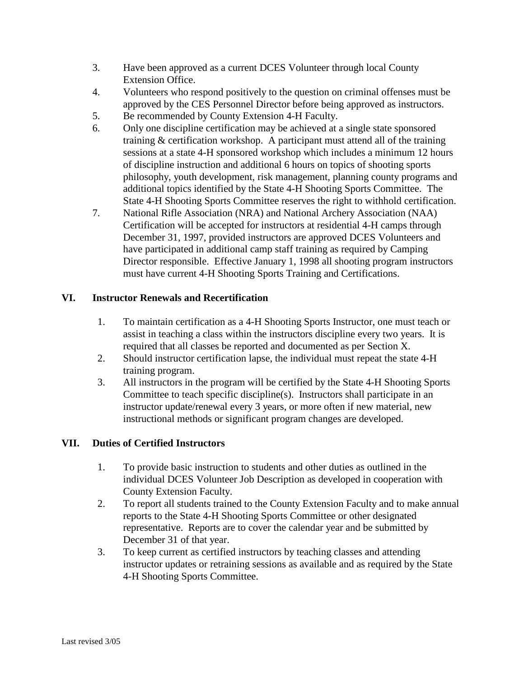- 3. Have been approved as a current DCES Volunteer through local County Extension Office.
- 4. Volunteers who respond positively to the question on criminal offenses must be approved by the CES Personnel Director before being approved as instructors.
- 5. Be recommended by County Extension 4-H Faculty.
- 6. Only one discipline certification may be achieved at a single state sponsored training & certification workshop. A participant must attend all of the training sessions at a state 4-H sponsored workshop which includes a minimum 12 hours of discipline instruction and additional 6 hours on topics of shooting sports philosophy, youth development, risk management, planning county programs and additional topics identified by the State 4-H Shooting Sports Committee. The State 4-H Shooting Sports Committee reserves the right to withhold certification.
- 7. National Rifle Association (NRA) and National Archery Association (NAA) Certification will be accepted for instructors at residential 4-H camps through December 31, 1997, provided instructors are approved DCES Volunteers and have participated in additional camp staff training as required by Camping Director responsible. Effective January 1, 1998 all shooting program instructors must have current 4-H Shooting Sports Training and Certifications.

## **VI. Instructor Renewals and Recertification**

- 1. To maintain certification as a 4-H Shooting Sports Instructor, one must teach or assist in teaching a class within the instructors discipline every two years. It is required that all classes be reported and documented as per Section X.
- 2. Should instructor certification lapse, the individual must repeat the state 4-H training program.
- 3. All instructors in the program will be certified by the State 4-H Shooting Sports Committee to teach specific discipline(s). Instructors shall participate in an instructor update/renewal every 3 years, or more often if new material, new instructional methods or significant program changes are developed.

### **VII. Duties of Certified Instructors**

- 1. To provide basic instruction to students and other duties as outlined in the individual DCES Volunteer Job Description as developed in cooperation with County Extension Faculty.
- 2. To report all students trained to the County Extension Faculty and to make annual reports to the State 4-H Shooting Sports Committee or other designated representative. Reports are to cover the calendar year and be submitted by December 31 of that year.
- 3. To keep current as certified instructors by teaching classes and attending instructor updates or retraining sessions as available and as required by the State 4-H Shooting Sports Committee.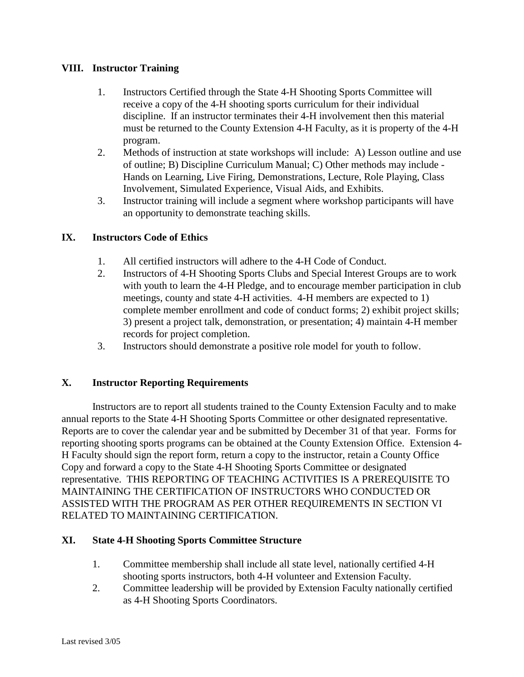### **VIII. Instructor Training**

- 1. Instructors Certified through the State 4-H Shooting Sports Committee will receive a copy of the 4-H shooting sports curriculum for their individual discipline. If an instructor terminates their 4-H involvement then this material must be returned to the County Extension 4-H Faculty, as it is property of the 4-H program.
- 2. Methods of instruction at state workshops will include: A) Lesson outline and use of outline; B) Discipline Curriculum Manual; C) Other methods may include - Hands on Learning, Live Firing, Demonstrations, Lecture, Role Playing, Class Involvement, Simulated Experience, Visual Aids, and Exhibits.
- 3. Instructor training will include a segment where workshop participants will have an opportunity to demonstrate teaching skills.

#### **IX. Instructors Code of Ethics**

- 1. All certified instructors will adhere to the 4-H Code of Conduct.
- 2. Instructors of 4-H Shooting Sports Clubs and Special Interest Groups are to work with youth to learn the 4-H Pledge, and to encourage member participation in club meetings, county and state 4-H activities. 4-H members are expected to 1) complete member enrollment and code of conduct forms; 2) exhibit project skills; 3) present a project talk, demonstration, or presentation; 4) maintain 4-H member records for project completion.
- 3. Instructors should demonstrate a positive role model for youth to follow.

#### **X. Instructor Reporting Requirements**

Instructors are to report all students trained to the County Extension Faculty and to make annual reports to the State 4-H Shooting Sports Committee or other designated representative. Reports are to cover the calendar year and be submitted by December 31 of that year. Forms for reporting shooting sports programs can be obtained at the County Extension Office. Extension 4- H Faculty should sign the report form, return a copy to the instructor, retain a County Office Copy and forward a copy to the State 4-H Shooting Sports Committee or designated representative. THIS REPORTING OF TEACHING ACTIVITIES IS A PREREQUISITE TO MAINTAINING THE CERTIFICATION OF INSTRUCTORS WHO CONDUCTED OR ASSISTED WITH THE PROGRAM AS PER OTHER REQUIREMENTS IN SECTION VI RELATED TO MAINTAINING CERTIFICATION.

#### **XI. State 4-H Shooting Sports Committee Structure**

- 1. Committee membership shall include all state level, nationally certified 4-H shooting sports instructors, both 4-H volunteer and Extension Faculty.
- 2. Committee leadership will be provided by Extension Faculty nationally certified as 4-H Shooting Sports Coordinators.